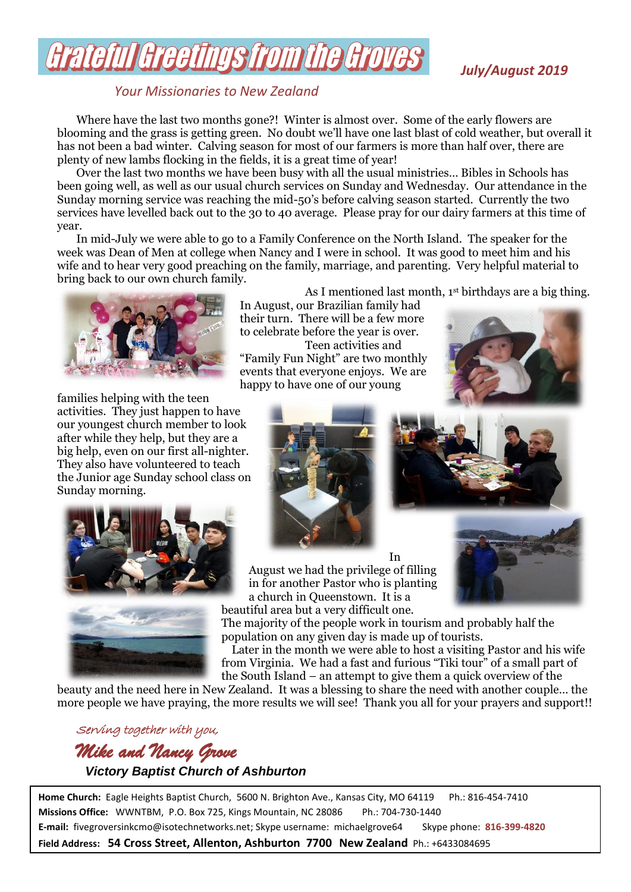## rateful Greetings from the Groves

## *July/August 2019*

## *Your Missionaries to New Zealand*

Where have the last two months gone?! Winter is almost over. Some of the early flowers are blooming and the grass is getting green. No doubt we'll have one last blast of cold weather, but overall it has not been a bad winter. Calving season for most of our farmers is more than half over, there are plenty of new lambs flocking in the fields, it is a great time of year!

Over the last two months we have been busy with all the usual ministries… Bibles in Schools has been going well, as well as our usual church services on Sunday and Wednesday. Our attendance in the Sunday morning service was reaching the mid-50's before calving season started. Currently the two services have levelled back out to the 30 to 40 average. Please pray for our dairy farmers at this time of year.

In mid-July we were able to go to a Family Conference on the North Island. The speaker for the week was Dean of Men at college when Nancy and I were in school. It was good to meet him and his wife and to hear very good preaching on the family, marriage, and parenting. Very helpful material to bring back to our own church family.



families helping with the teen activities. They just happen to have our youngest church member to look after while they help, but they are a big help, even on our first all-nighter. They also have volunteered to teach the Junior age Sunday school class on Sunday morning.



As I mentioned last month, 1<sup>st</sup> birthdays are a big thing.

In August, our Brazilian family had their turn. There will be a few more to celebrate before the year is over. Teen activities and "Family Fun Night" are two monthly events that everyone enjoys. We are happy to have one of our young







August we had the privilege of filling in for another Pastor who is planting a church in Queenstown. It is a

beautiful area but a very difficult one. The majority of the people work in tourism and probably half the

population on any given day is made up of tourists.

Later in the month we were able to host a visiting Pastor and his wife from Virginia. We had a fast and furious "Tiki tour" of a small part of the South Island – an attempt to give them a quick overview of the

In

beauty and the need here in New Zealand. It was a blessing to share the need with another couple… the more people we have praying, the more results we will see! Thank you all for your prayers and support!!

Serving together with you, *Mike and Nancy Grove Victory Baptist Church of Ashburton*

**Home Church:** Eagle Heights Baptist Church, 5600 N. Brighton Ave., Kansas City, MO 64119 Ph.: 816-454-7410 **Missions Office:** WWNTBM, P.O. Box 725, Kings Mountain, NC 28086 Ph.: 704-730-1440 **E-mail:** fivegroversinkcmo@isotechnetworks.net; Skype username: michaelgrove64 Skype phone: **816-399-4820 Field Address: 54 Cross Street, Allenton, Ashburton 7700 New Zealand** Ph.: +6433084695